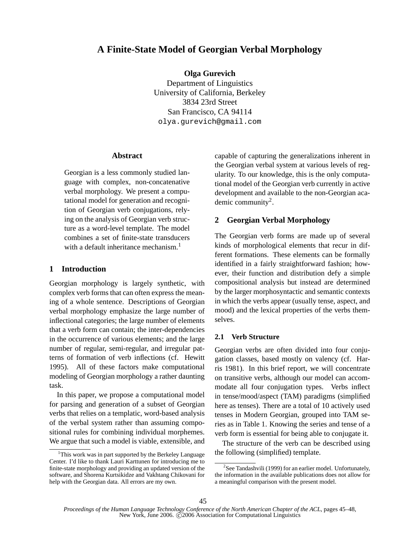# **A Finite-State Model of Georgian Verbal Morphology**

**Olga Gurevich**

Department of Linguistics University of California, Berkeley 3834 23rd Street San Francisco, CA 94114 olya.gurevich@gmail.com

# **Abstract**

Georgian is a less commonly studied language with complex, non-concatenative verbal morphology. We present a computational model for generation and recognition of Georgian verb conjugations, relying on the analysis of Georgian verb structure as a word-level template. The model combines a set of finite-state transducers with a default inheritance mechanism.<sup>1</sup>

# **1 Introduction**

Georgian morphology is largely synthetic, with complex verb forms that can often express the meaning of a whole sentence. Descriptions of Georgian verbal morphology emphasize the large number of inflectional categories; the large number of elements that a verb form can contain; the inter-dependencies in the occurrence of various elements; and the large number of regular, semi-regular, and irregular patterns of formation of verb inflections (cf. Hewitt 1995). All of these factors make computational modeling of Georgian morphology a rather daunting task.

In this paper, we propose a computational model for parsing and generation of a subset of Georgian verbs that relies on a templatic, word-based analysis of the verbal system rather than assuming compositional rules for combining individual morphemes. We argue that such a model is viable, extensible, and

capable of capturing the generalizations inherent in the Georgian verbal system at various levels of regularity. To our knowledge, this is the only computational model of the Georgian verb currently in active development and available to the non-Georgian academic community<sup>2</sup>.

# **2 Georgian Verbal Morphology**

The Georgian verb forms are made up of several kinds of morphological elements that recur in different formations. These elements can be formally identified in a fairly straightforward fashion; however, their function and distribution defy a simple compositional analysis but instead are determined by the larger morphosyntactic and semantic contexts in which the verbs appear (usually tense, aspect, and mood) and the lexical properties of the verbs themselves.

#### **2.1 Verb Structure**

Georgian verbs are often divided into four conjugation classes, based mostly on valency (cf. Harris 1981). In this brief report, we will concentrate on transitive verbs, although our model can accommodate all four conjugation types. Verbs inflect in tense/mood/aspect (TAM) paradigms (simplified here as tenses). There are a total of 10 actively used tenses in Modern Georgian, grouped into TAM series as in Table 1. Knowing the series and tense of a verb form is essential for being able to conjugate it.

The structure of the verb can be described using the following (simplified) template.

<sup>&</sup>lt;sup>1</sup>This work was in part supported by the Berkeley Language Center. I'd like to thank Lauri Karttunen for introducing me to finite-state morphology and providing an updated version of the software, and Shorena Kurtsikidze and Vakhtang Chikovani for help with the Georgian data. All errors are my own.

 $2$ See Tandashvili (1999) for an earlier model. Unfortunately, the information in the available publications does not allow for a meaningful comparison with the present model.

*Proceedings of the Human Language Technology Conference of the North American Chapter of the ACL*, pages 45–48, New York, June 2006.  $\tilde{C}$ 2006 Association for Computational Linguistics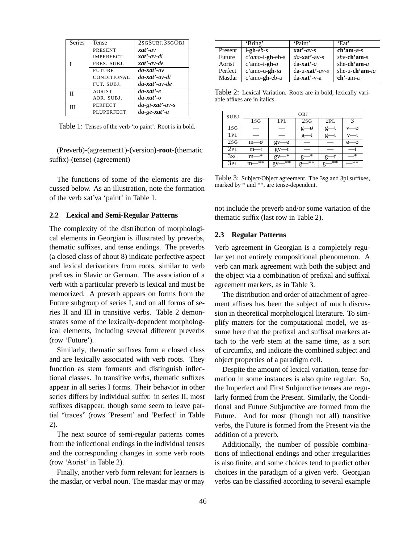| <b>Series</b> | Tense            | 2SGSUBJ:3SGOBJ          |
|---------------|------------------|-------------------------|
|               | <b>PRESENT</b>   | $xat'$ -av              |
|               | <b>IMPERFECT</b> | $xat'$ -av-di           |
|               | PRES. SUBJ.      | $xat'$ -av-de           |
|               | <b>FUTURE</b>    | $da$ -xat'-av           |
|               | CONDITIONAL      | $da$ <b>xat'</b> -av-di |
|               | FUT. SUBJ.       | $da$ <b>xat'</b> -av-de |
| П             | <b>AORIST</b>    | $da$ -xat'-e            |
|               | AOR. SUBJ.       | $da$ -xat'-o            |
| Ш             | <b>PERFECT</b>   | $da-gi$ -xat'-av-s      |
|               | PLUPERFECT       | $da$ -ge-xat'-a         |

Table 1: Tenses of the verb 'to paint'. Root is in bold.

(Preverb)-(agreement1)-(version)-**root**-(thematic suffix)-(tense)-(agreement)

The functions of some of the elements are discussed below. As an illustration, note the formation of the verb xat'va 'paint' in Table 1.

### **2.2 Lexical and Semi-Regular Patterns**

The complexity of the distribution of morphological elements in Georgian is illustrated by preverbs, thematic suffixes, and tense endings. The preverbs (a closed class of about 8) indicate perfective aspect and lexical derivations from roots, similar to verb prefixes in Slavic or German. The association of a verb with a particular preverb is lexical and must be memorized. A preverb appears on forms from the Future subgroup of series I, and on all forms of series II and III in transitive verbs. Table 2 demonstrates some of the lexically-dependent morphological elements, including several different preverbs (row 'Future').

Similarly, thematic suffixes form a closed class and are lexically associated with verb roots. They function as stem formants and distinguish inflectional classes. In transitive verbs, thematic suffixes appear in all series I forms. Their behavior in other series differs by individual suffix: in series II, most suffixes disappear, though some seem to leave partial "traces" (rows 'Present' and 'Perfect' in Table 2).

The next source of semi-regular patterns comes from the inflectional endings in the individual tenses and the corresponding changes in some verb roots (row 'Aorist' in Table 2).

Finally, another verb form relevant for learners is the masdar, or verbal noun. The masdar may or may

|         | 'Bring'            | 'Paint'                    | 'Eat'            |
|---------|--------------------|----------------------------|------------------|
| Present | $i$ -gh- $eb$ -s   | $\mathbf{x}$ at'-av-s      | ch'am- $\phi$ -s |
| Future  | $c'amo$ -i-gh-eb-s | $da$ - <b>xat'</b> -av-s   | she-ch'am-s      |
| Aorist  | $c'$ amo-i-gh- $o$ | $da$ -xat'-a               | she-ch'am- $a$   |
| Perfect | $c'$ amo-u-gh-ia   | $da$ -u- <b>xat</b> '-av-s | she-u-ch'am-ia   |
| Masdar  | c'amo-gh-eb-a      | $da$ - <b>xat'</b> -v-a    | $ch$ '-am-a      |

Table 2: Lexical Variation. Roots are in bold; lexically variable affixes are in italics.

| <b>SUBJ</b> | OBJ               |          |                 |                |    |
|-------------|-------------------|----------|-----------------|----------------|----|
|             | 1s <sub>G</sub>   | 1 PL     | 2s <sub>G</sub> | 2PL            |    |
| 1sg         |                   |          | g               |                |    |
| 1PL         |                   |          |                 | g              |    |
| 2sG         | $m$ — $\emptyset$ | gv       |                 |                |    |
| 2PL         | m—t               | gv       |                 |                |    |
| 3sG         | $\ast$<br>m       | *<br>gv  | $*$             |                | *  |
| 3PL         | $* *$<br>m        | **<br>gv | **              | **<br>$\sigma$ | ** |

Table 3: Subject/Object agreement. The 3sg and 3pl suffixes, marked by \* and \*\*, are tense-dependent.

not include the preverb and/or some variation of the thematic suffix (last row in Table 2).

#### **2.3 Regular Patterns**

Verb agreement in Georgian is a completely regular yet not entirely compositional phenomenon. A verb can mark agreement with both the subject and the object via a combination of prefixal and suffixal agreement markers, as in Table 3.

The distribution and order of attachment of agreement affixes has been the subject of much discussion in theoretical morphological literature. To simplify matters for the computational model, we assume here that the prefixal and suffixal markers attach to the verb stem at the same time, as a sort of circumfix, and indicate the combined subject and object properties of a paradigm cell.

Despite the amount of lexical variation, tense formation in some instances is also quite regular. So, the Imperfect and First Subjunctive tenses are regularly formed from the Present. Similarly, the Conditional and Future Subjunctive are formed from the Future. And for most (though not all) transitive verbs, the Future is formed from the Present via the addition of a preverb.

Additionally, the number of possible combinations of inflectional endings and other irregularities is also finite, and some choices tend to predict other choices in the paradigm of a given verb. Georgian verbs can be classified according to several example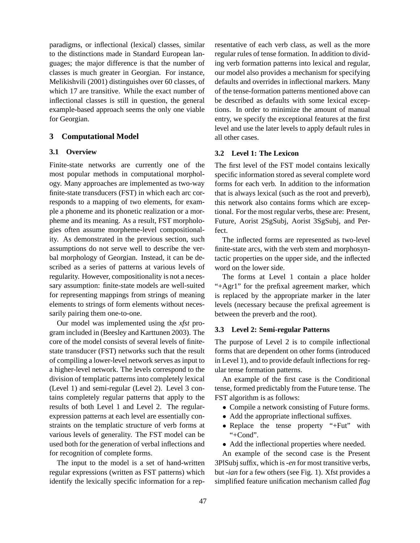paradigms, or inflectional (lexical) classes, similar to the distinctions made in Standard European languages; the major difference is that the number of classes is much greater in Georgian. For instance, Melikishvili (2001) distinguishes over 60 classes, of which 17 are transitive. While the exact number of inflectional classes is still in question, the general example-based approach seems the only one viable for Georgian.

# **3 Computational Model**

# **3.1 Overview**

Finite-state networks are currently one of the most popular methods in computational morphology. Many approaches are implemented as two-way finite-state transducers (FST) in which each arc corresponds to a mapping of two elements, for example a phoneme and its phonetic realization or a morpheme and its meaning. As a result, FST morphologies often assume morpheme-level compositionality. As demonstrated in the previous section, such assumptions do not serve well to describe the verbal morphology of Georgian. Instead, it can be described as a series of patterns at various levels of regularity. However, compositionality is not a necessary assumption: finite-state models are well-suited for representing mappings from strings of meaning elements to strings of form elements without necessarily pairing them one-to-one.

Our model was implemented using the *xfst* program included in (Beesley and Karttunen 2003). The core of the model consists of several levels of finitestate transducer (FST) networks such that the result of compiling a lower-level network serves as input to a higher-level network. The levels correspond to the division of templatic patterns into completely lexical (Level 1) and semi-regular (Level 2). Level 3 contains completely regular patterns that apply to the results of both Level 1 and Level 2. The regularexpression patterns at each level are essentially constraints on the templatic structure of verb forms at various levels of generality. The FST model can be used both for the generation of verbal inflections and for recognition of complete forms.

The input to the model is a set of hand-written regular expressions (written as FST patterns) which identify the lexically specific information for a representative of each verb class, as well as the more regular rules of tense formation. In addition to dividing verb formation patterns into lexical and regular, our model also provides a mechanism for specifying defaults and overrides in inflectional markers. Many of the tense-formation patterns mentioned above can be described as defaults with some lexical exceptions. In order to minimize the amount of manual entry, we specify the exceptional features at the first level and use the later levels to apply default rules in all other cases.

### **3.2 Level 1: The Lexicon**

The first level of the FST model contains lexically specific information stored as several complete word forms for each verb. In addition to the information that is always lexical (such as the root and preverb), this network also contains forms which are exceptional. For the most regular verbs, these are: Present, Future, Aorist 2SgSubj, Aorist 3SgSubj, and Perfect.

The inflected forms are represented as two-level finite-state arcs, with the verb stem and morphosyntactic properties on the upper side, and the inflected word on the lower side.

The forms at Level 1 contain a place holder "+Agr1" for the prefixal agreement marker, which is replaced by the appropriate marker in the later levels (necessary because the prefixal agreement is between the preverb and the root).

#### **3.3 Level 2: Semi-regular Patterns**

The purpose of Level 2 is to compile inflectional forms that are dependent on other forms (introduced in Level 1), and to provide default inflections for regular tense formation patterns.

An example of the first case is the Conditional tense, formed predictably from the Future tense. The FST algorithm is as follows:

- Compile a network consisting of Future forms.
- Add the appropriate inflectional suffixes.
- Replace the tense property "+Fut" with "+Cond".
- Add the inflectional properties where needed.

An example of the second case is the Present 3PlSubjsuffix, which is*-en* for most transitive verbs, but *-ian* for a few others (see Fig. 1). Xfst provides a simplified feature unification mechanism called *flag*